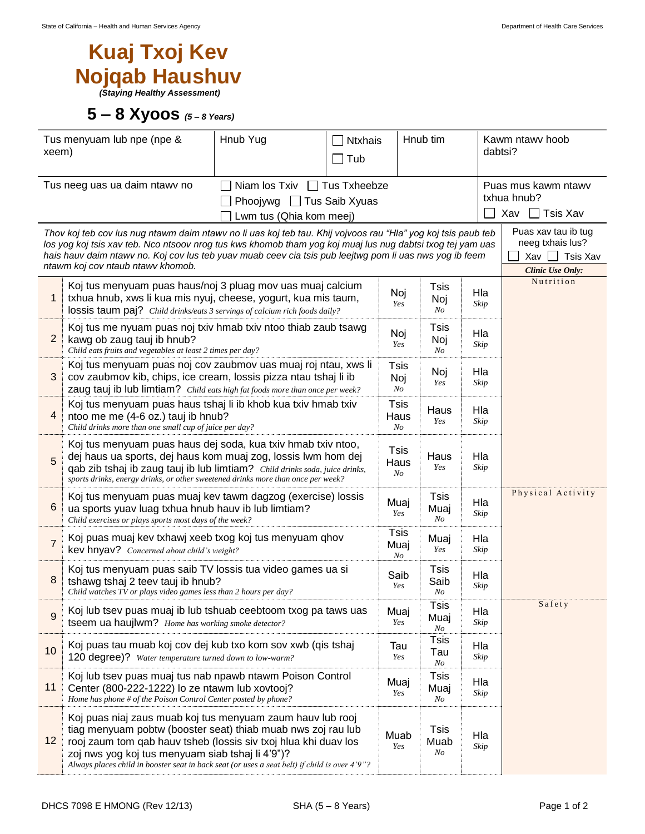## **Kuaj Txoj Kev Nojqab Haushuv** *(Staying Healthy Assessment)*

## **5 – 8 Xyoos** *(5 – <sup>8</sup> Years)*

| Tus menyuam lub npe (npe &<br>xeem)                                                                                                                                                                                                                                                                                                                                         |                                                                                                                                                                                                                                                                                                                                                    | Hnub Yug | <b>Ntxhais</b><br>$\Box$ Tub |                          | Hnub tim                  |             | Kawm ntawy hoob<br>dabtsi?                                                     |  |
|-----------------------------------------------------------------------------------------------------------------------------------------------------------------------------------------------------------------------------------------------------------------------------------------------------------------------------------------------------------------------------|----------------------------------------------------------------------------------------------------------------------------------------------------------------------------------------------------------------------------------------------------------------------------------------------------------------------------------------------------|----------|------------------------------|--------------------------|---------------------------|-------------|--------------------------------------------------------------------------------|--|
| Tus neeg uas ua daim ntawy no<br>Niam los Txiv $\Box$ Tus Txheebze<br>Phoojywg $\Box$ Tus Saib Xyuas<br>Lwm tus (Qhia kom meej)                                                                                                                                                                                                                                             |                                                                                                                                                                                                                                                                                                                                                    |          |                              |                          |                           |             | Puas mus kawm ntawv<br>txhua hnub?<br>Xav $\Box$ Tsis Xav                      |  |
| Thov koj teb cov lus nug ntawm daim ntawv no li uas koj teb tau. Khij vojvoos rau "Hla" yog koj tsis paub teb<br>los yog koj tsis xav teb. Nco ntsoov nrog tus kws khomob tham yog koj muaj lus nug dabtsi txog tej yam uas<br>hais hauv daim ntawv no. Koj cov lus teb yuav muab ceev cia tsis pub leejtwg pom li uas nws yog ib feem<br>ntawm koj cov ntaub ntawv khomob. |                                                                                                                                                                                                                                                                                                                                                    |          |                              |                          |                           |             | Puas xav tau ib tug<br>neeg txhais lus?<br>Xav<br>Tsis Xav<br>Clinic Use Only: |  |
| 1                                                                                                                                                                                                                                                                                                                                                                           | Koj tus menyuam puas haus/noj 3 pluag mov uas muaj calcium<br>txhua hnub, xws li kua mis nyuj, cheese, yogurt, kua mis taum,<br>lossis taum paj? Child drinks/eats 3 servings of calcium rich foods daily?                                                                                                                                         |          |                              |                          | Tsis<br>Noj<br>No         | Hla<br>Skip | Nutrition                                                                      |  |
| $\overline{2}$                                                                                                                                                                                                                                                                                                                                                              | Koj tus me nyuam puas noj txiv hmab txiv ntoo thiab zaub tsawg<br>kawg ob zaug tauj ib hnub?<br>Child eats fruits and vegetables at least 2 times per day?                                                                                                                                                                                         |          |                              |                          | Tsis<br>Noj<br>No         | Hla<br>Skip |                                                                                |  |
| $\mathbf{3}$                                                                                                                                                                                                                                                                                                                                                                | Koj tus menyuam puas noj cov zaubmov uas muaj roj ntau, xws li<br>cov zaubmov kib, chips, ice cream, lossis pizza ntau tshaj li ib<br>zaug tauj ib lub limtiam? Child eats high fat foods more than once per week?                                                                                                                                 |          |                              |                          | Noj<br>Yes                | Hla<br>Skip |                                                                                |  |
| $\overline{4}$                                                                                                                                                                                                                                                                                                                                                              | Koj tus menyuam puas haus tshaj li ib khob kua txiv hmab txiv<br>ntoo me me (4-6 oz.) tauj ib hnub?<br>Child drinks more than one small cup of juice per day?                                                                                                                                                                                      |          |                              |                          | Haus<br>Yes               | Hla<br>Skip |                                                                                |  |
| 5                                                                                                                                                                                                                                                                                                                                                                           | Koj tus menyuam puas haus dej soda, kua txiv hmab txiv ntoo,<br>dej haus ua sports, dej haus kom muaj zog, lossis lwm hom dej<br>qab zib tshaj ib zaug tauj ib lub limtiam? Child drinks soda, juice drinks,<br>sports drinks, energy drinks, or other sweetened drinks more than once per week?                                                   |          |                              |                          | Haus<br>Yes               | Hla<br>Skip |                                                                                |  |
| 6                                                                                                                                                                                                                                                                                                                                                                           | Koj tus menyuam puas muaj kev tawm dagzog (exercise) lossis<br>ua sports yuav luag txhua hnub hauv ib lub limtiam?<br>Child exercises or plays sports most days of the week?                                                                                                                                                                       |          |                              |                          | <b>Tsis</b><br>Muaj<br>No | Hla<br>Skip | Physical Activity                                                              |  |
| $\overline{7}$                                                                                                                                                                                                                                                                                                                                                              | Koj puas muaj kev txhawj xeeb txog koj tus menyuam qhov<br>kev hnyav? Concerned about child's weight?                                                                                                                                                                                                                                              |          |                              |                          | Muaj<br>Yes               | Hla<br>Skip |                                                                                |  |
| 8                                                                                                                                                                                                                                                                                                                                                                           | Koj tus menyuam puas saib TV lossis tua video games ua si<br>tshawg tshaj 2 teev tauj ib hnub?<br>Child watches TV or plays video games less than 2 hours per day?                                                                                                                                                                                 |          |                              |                          | Tsis<br>Saib<br>No        | Hla<br>Skip |                                                                                |  |
| 9                                                                                                                                                                                                                                                                                                                                                                           | Koj lub tsev puas muaj ib lub tshuab ceebtoom txog pa taws uas<br>tseem ua haujlwm? Home has working smoke detector?                                                                                                                                                                                                                               |          |                              | Muaj<br>Yes              | <b>Tsis</b><br>Muaj<br>No | Hla<br>Skip | Safety                                                                         |  |
| 10                                                                                                                                                                                                                                                                                                                                                                          | Koj puas tau muab koj cov dej kub txo kom sov xwb (qis tshaj<br>120 degree)? Water temperature turned down to low-warm?                                                                                                                                                                                                                            |          | Tau<br>Yes                   | <b>Tsis</b><br>Tau<br>No | Hla<br>Skip               |             |                                                                                |  |
| 11                                                                                                                                                                                                                                                                                                                                                                          | Koj lub tsev puas muaj tus nab npawb ntawm Poison Control<br>Center (800-222-1222) lo ze ntawm lub xovtooj?<br>Home has phone # of the Poison Control Center posted by phone?                                                                                                                                                                      |          |                              |                          | <b>Tsis</b><br>Muaj<br>No | Hla<br>Skip |                                                                                |  |
| 12                                                                                                                                                                                                                                                                                                                                                                          | Koj puas niaj zaus muab koj tus menyuam zaum hauv lub rooj<br>tiag menyuam pobtw (booster seat) thiab muab nws zoj rau lub<br>rooj zaum tom qab hauv tsheb (lossis siv txoj hlua khi duav los<br>zoj nws yog koj tus menyuam siab tshaj li 4'9")?<br>Always places child in booster seat in back seat (or uses a seat belt) if child is over 4'9"? |          |                              | Muab<br>Yes              | <b>Tsis</b><br>Muab<br>No | Hla<br>Skip |                                                                                |  |